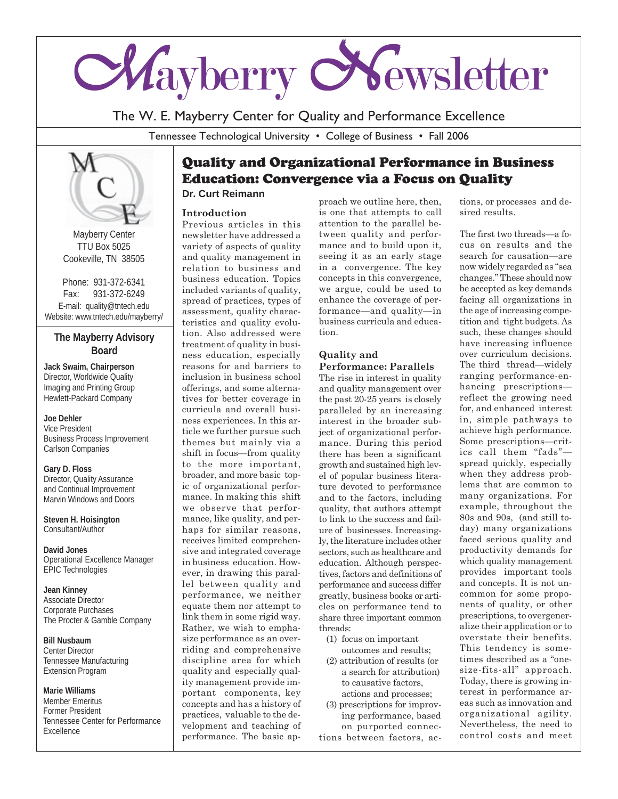

The W. E. Mayberry Center for Quality and Performance Excellence

Tennessee Technological University • College of Business • Fall 2006



Mayberry Center TTU Box 5025 Cookeville, TN 38505

Phone: 931-372-6341 Fax: 931-372-6249 E-mail: quality@tntech.edu Website: www.tntech.edu/mayberry/

## **The Mayberry Advisory Board**

**Jack Swaim, Chairperson** Director, Worldwide Quality Imaging and Printing Group Hewlett-Packard Company

### **Joe Dehler**

Vice President Business Process Improvement Carlson Companies

**Gary D. Floss** Director, Quality Assurance and Continual Improvement Marvin Windows and Doors

**Steven H. Hoisington** Consultant/Author

**David Jones** Operational Excellence Manager EPIC Technologies

**Jean Kinney** Associate Director Corporate Purchases The Procter & Gamble Company

**Bill Nusbaum** Center Director Tennessee Manufacturing Extension Program

#### **Marie Williams**

Member Emeritus Former President Tennessee Center for Performance Excellence

# Quality and Organizational Performance in Business Education: Convergence via a Focus on Quality

**Dr. Curt Reimann**

### **Introduction**

Previous articles in this newsletter have addressed a variety of aspects of quality and quality management in relation to business and business education. Topics included variants of quality, spread of practices, types of assessment, quality characteristics and quality evolution. Also addressed were treatment of quality in business education, especially reasons for and barriers to inclusion in business school offerings, and some alternatives for better coverage in curricula and overall business experiences. In this article we further pursue such themes but mainly via a shift in focus—from quality to the more important, broader, and more basic topic of organizational performance. In making this shift we observe that performance, like quality, and perhaps for similar reasons, receives limited comprehensive and integrated coverage in business education. However, in drawing this parallel between quality and performance, we neither equate them nor attempt to link them in some rigid way. Rather, we wish to emphasize performance as an overriding and comprehensive discipline area for which quality and especially quality management provide important components, key concepts and has a history of practices, valuable to the development and teaching of performance. The basic ap-

proach we outline here, then, is one that attempts to call attention to the parallel between quality and performance and to build upon it, seeing it as an early stage in a convergence. The key concepts in this convergence, we argue, could be used to enhance the coverage of performance—and quality—in business curricula and education.

## **Quality and Performance: Parallels**

The rise in interest in quality and quality management over the past 20-25 years is closely paralleled by an increasing interest in the broader subject of organizational performance. During this period there has been a significant growth and sustained high level of popular business literature devoted to performance and to the factors, including quality, that authors attempt to link to the success and failure of businesses. Increasingly, the literature includes other sectors, such as healthcare and education. Although perspectives, factors and definitions of performance and success differ greatly, business books or articles on performance tend to share three important common threads:

- (1) focus on important outcomes and results;
- (2) attribution of results (or a search for attribution) to causative factors, actions and processes;
- (3) prescriptions for improving performance, based on purported connections between factors, ac-

tions, or processes and desired results.

The first two threads—a focus on results and the search for causation—are now widely regarded as "sea changes." These should now be accepted as key demands facing all organizations in the age of increasing competition and tight budgets. As such, these changes should have increasing influence over curriculum decisions. The third thread—widely ranging performance-enhancing prescriptions reflect the growing need for, and enhanced interest in, simple pathways to achieve high performance. Some prescriptions—critics call them "fads" spread quickly, especially when they address problems that are common to many organizations. For example, throughout the 80s and 90s, (and still today) many organizations faced serious quality and productivity demands for which quality management provides important tools and concepts. It is not uncommon for some proponents of quality, or other prescriptions, to overgeneralize their application or to overstate their benefits. This tendency is sometimes described as a "onesize-fits-all" approach. Today, there is growing interest in performance areas such as innovation and organizational agility. Nevertheless, the need to control costs and meet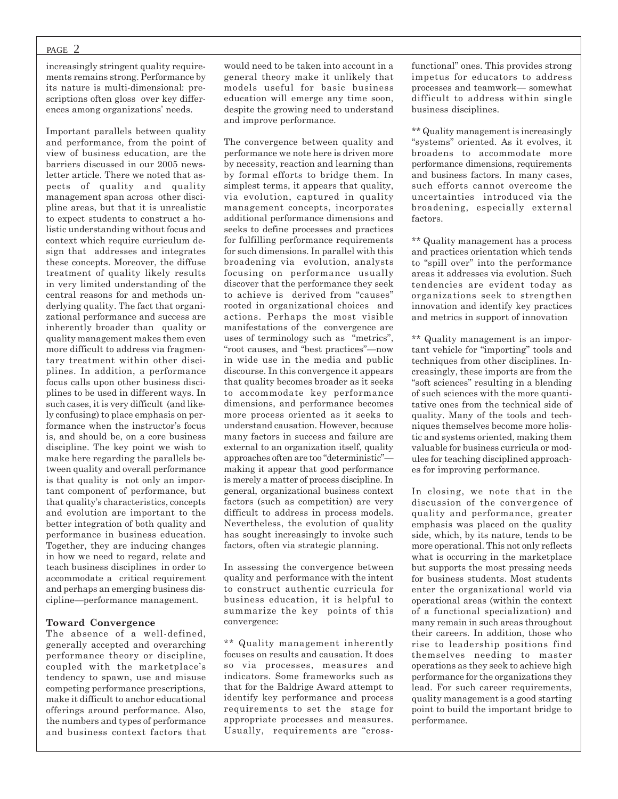#### PAGE 2

increasingly stringent quality requirements remains strong. Performance by its nature is multi-dimensional: prescriptions often gloss over key differences among organizations' needs.

Important parallels between quality and performance, from the point of view of business education, are the barriers discussed in our 2005 newsletter article. There we noted that aspects of quality and quality management span across other discipline areas, but that it is unrealistic to expect students to construct a holistic understanding without focus and context which require curriculum design that addresses and integrates these concepts. Moreover, the diffuse treatment of quality likely results in very limited understanding of the central reasons for and methods underlying quality. The fact that organizational performance and success are inherently broader than quality or quality management makes them even more difficult to address via fragmentary treatment within other disciplines. In addition, a performance focus calls upon other business disciplines to be used in different ways. In such cases, it is very difficult (and likely confusing) to place emphasis on performance when the instructor's focus is, and should be, on a core business discipline. The key point we wish to make here regarding the parallels between quality and overall performance is that quality is not only an important component of performance, but that quality's characteristics, concepts and evolution are important to the better integration of both quality and performance in business education. Together, they are inducing changes in how we need to regard, relate and teach business disciplines in order to accommodate a critical requirement and perhaps an emerging business discipline—performance management.

#### **Toward Convergence**

The absence of a well-defined, generally accepted and overarching performance theory or discipline, coupled with the marketplace's tendency to spawn, use and misuse competing performance prescriptions, make it difficult to anchor educational offerings around performance. Also, the numbers and types of performance and business context factors that would need to be taken into account in a general theory make it unlikely that models useful for basic business education will emerge any time soon, despite the growing need to understand and improve performance.

The convergence between quality and performance we note here is driven more by necessity, reaction and learning than by formal efforts to bridge them. In simplest terms, it appears that quality, via evolution, captured in quality management concepts, incorporates additional performance dimensions and seeks to define processes and practices for fulfilling performance requirements for such dimensions. In parallel with this broadening via evolution, analysts focusing on performance usually discover that the performance they seek to achieve is derived from "causes" rooted in organizational choices and actions. Perhaps the most visible manifestations of the convergence are uses of terminology such as "metrics", "root causes, and "best practices"—now in wide use in the media and public discourse. In this convergence it appears that quality becomes broader as it seeks to accommodate key performance dimensions, and performance becomes more process oriented as it seeks to understand causation. However, because many factors in success and failure are external to an organization itself, quality approaches often are too "deterministic" making it appear that good performance is merely a matter of process discipline. In general, organizational business context factors (such as competition) are very difficult to address in process models. Nevertheless, the evolution of quality has sought increasingly to invoke such factors, often via strategic planning.

In assessing the convergence between quality and performance with the intent to construct authentic curricula for business education, it is helpful to summarize the key points of this convergence:

\*\* Quality management inherently focuses on results and causation. It does so via processes, measures and indicators. Some frameworks such as that for the Baldrige Award attempt to identify key performance and process requirements to set the stage for appropriate processes and measures. Usually, requirements are "crossfunctional" ones. This provides strong impetus for educators to address processes and teamwork— somewhat difficult to address within single business disciplines.

\*\* Quality management is increasingly "systems" oriented. As it evolves, it broadens to accommodate more performance dimensions, requirements and business factors. In many cases, such efforts cannot overcome the uncertainties introduced via the broadening, especially external factors.

\*\* Quality management has a process and practices orientation which tends to "spill over" into the performance areas it addresses via evolution. Such tendencies are evident today as organizations seek to strengthen innovation and identify key practices and metrics in support of innovation

\*\* Quality management is an important vehicle for "importing" tools and techniques from other disciplines. Increasingly, these imports are from the "soft sciences" resulting in a blending of such sciences with the more quantitative ones from the technical side of quality. Many of the tools and techniques themselves become more holistic and systems oriented, making them valuable for business curricula or modules for teaching disciplined approaches for improving performance.

In closing, we note that in the discussion of the convergence of quality and performance, greater emphasis was placed on the quality side, which, by its nature, tends to be more operational. This not only reflects what is occurring in the marketplace but supports the most pressing needs for business students. Most students enter the organizational world via operational areas (within the context of a functional specialization) and many remain in such areas throughout their careers. In addition, those who rise to leadership positions find themselves needing to master operations as they seek to achieve high performance for the organizations they lead. For such career requirements, quality management is a good starting point to build the important bridge to performance.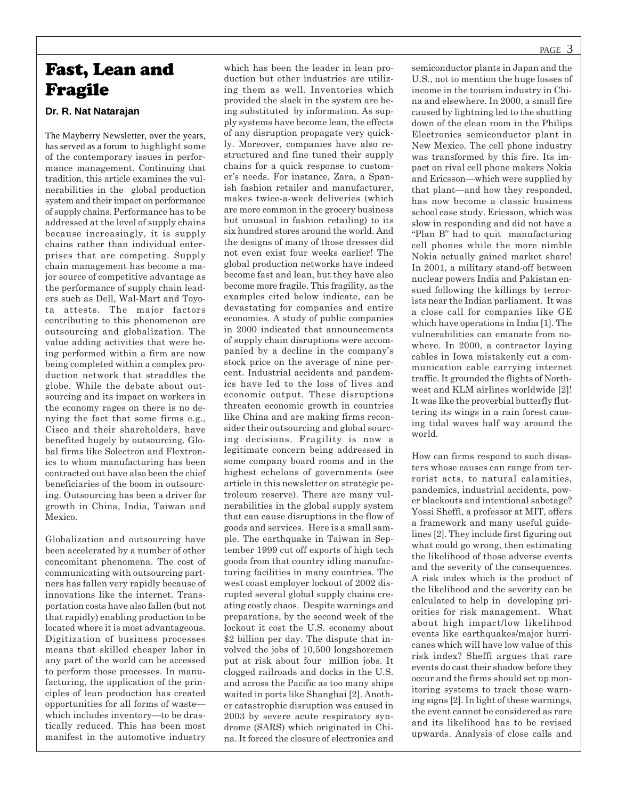# Fast, Lean and Fragile

### **Dr. R. Nat Natarajan**

The Mayberry Newsletter, over the years, has served as a forum to highlight some of the contemporary issues in performance management. Continuing that tradition, this article examines the vulnerabilities in the global production system and their impact on performance of supply chains. Performance has to be addressed at the level of supply chains because increasingly, it is supply chains rather than individual enterprises that are competing. Supply chain management has become a major source of competitive advantage as the performance of supply chain leaders such as Dell, Wal-Mart and Toyota attests. The major factors contributing to this phenomenon are outsourcing and globalization. The value adding activities that were being performed within a firm are now being completed within a complex production network that straddles the globe. While the debate about outsourcing and its impact on workers in the economy rages on there is no denying the fact that some firms e.g., Cisco and their shareholders, have benefited hugely by outsourcing. Global firms like Solectron and Flextronics to whom manufacturing has been contracted out have also been the chief beneficiaries of the boom in outsourcing. Outsourcing has been a driver for growth in China, India, Taiwan and Mexico.

Globalization and outsourcing have been accelerated by a number of other concomitant phenomena. The cost of communicating with outsourcing partners has fallen very rapidly because of innovations like the internet. Transportation costs have also fallen (but not that rapidly) enabling production to be located where it is most advantageous. Digitization of business processes means that skilled cheaper labor in any part of the world can be accessed to perform those processes. In manufacturing, the application of the principles of lean production has created opportunities for all forms of waste which includes inventory—to be drastically reduced. This has been most manifest in the automotive industry

which has been the leader in lean production but other industries are utilizing them as well. Inventories which provided the slack in the system are being substituted by information. As supply systems have become lean, the effects of any disruption propagate very quickly. Moreover, companies have also restructured and fine tuned their supply chains for a quick response to customer's needs. For instance, Zara, a Spanish fashion retailer and manufacturer, makes twice-a-week deliveries (which are more common in the grocery business but unusual in fashion retailing) to its six hundred stores around the world. And the designs of many of those dresses did not even exist four weeks earlier! The global production networks have indeed become fast and lean, but they have also become more fragile. This fragility, as the examples cited below indicate, can be devastating for companies and entire economies. A study of public companies in 2000 indicated that announcements of supply chain disruptions were accompanied by a decline in the company's stock price on the average of nine percent. Industrial accidents and pandemics have led to the loss of lives and economic output. These disruptions threaten economic growth in countries like China and are making firms reconsider their outsourcing and global sourcing decisions. Fragility is now a legitimate concern being addressed in some company board rooms and in the highest echelons of governments (see article in this newsletter on strategic petroleum reserve). There are many vulnerabilities in the global supply system that can cause disruptions in the flow of goods and services. Here is a small sample. The earthquake in Taiwan in September 1999 cut off exports of high tech goods from that country idling manufacturing facilities in many countries. The west coast employer lockout of 2002 disrupted several global supply chains creating costly chaos. Despite warnings and preparations, by the second week of the lockout it cost the U.S. economy about \$2 billion per day. The dispute that involved the jobs of 10,500 longshoremen put at risk about four million jobs. It clogged railroads and docks in the U.S. and across the Pacific as too many ships waited in ports like Shanghai [2]. Another catastrophic disruption was caused in 2003 by severe acute respiratory syndrome (SARS) which originated in China. It forced the closure of electronics and

semiconductor plants in Japan and the U.S., not to mention the huge losses of income in the tourism industry in China and elsewhere. In 2000, a small fire caused by lightning led to the shutting down of the clean room in the Philips Electronics semiconductor plant in New Mexico. The cell phone industry was transformed by this fire. Its impact on rival cell phone makers Nokia and Ericsson—which were supplied by that plant—and how they responded, has now become a classic business school case study. Ericsson, which was slow in responding and did not have a "Plan B" had to quit manufacturing cell phones while the more nimble Nokia actually gained market share! In 2001, a military stand-off between nuclear powers India and Pakistan ensued following the killings by terrorists near the Indian parliament. It was a close call for companies like GE which have operations in India [1]. The vulnerabilities can emanate from nowhere. In 2000, a contractor laying cables in Iowa mistakenly cut a communication cable carrying internet traffic. It grounded the flights of Northwest and KLM airlines worldwide [2]! It was like the proverbial butterfly fluttering its wings in a rain forest causing tidal waves half way around the world.

How can firms respond to such disasters whose causes can range from terrorist acts, to natural calamities, pandemics, industrial accidents, power blackouts and intentional sabotage? Yossi Sheffi, a professor at MIT, offers a framework and many useful guidelines [2]. They include first figuring out what could go wrong, then estimating the likelihood of those adverse events and the severity of the consequences. A risk index which is the product of the likelihood and the severity can be calculated to help in developing priorities for risk management. What about high impact/low likelihood events like earthquakes/major hurricanes which will have low value of this risk index? Sheffi argues that rare events do cast their shadow before they occur and the firms should set up monitoring systems to track these warning signs [2]. In light of these warnings, the event cannot be considered as rare and its likelihood has to be revised upwards. Analysis of close calls and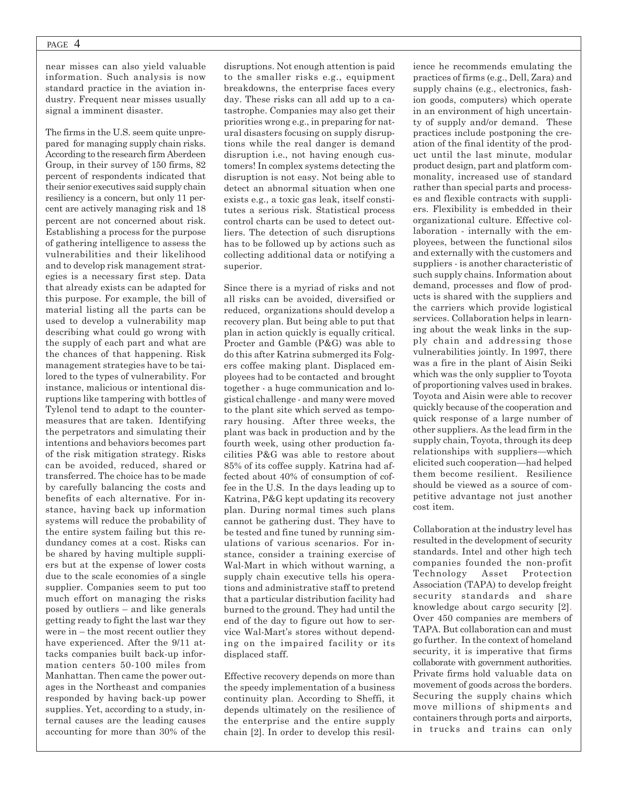#### PAGE 4

near misses can also yield valuable information. Such analysis is now standard practice in the aviation industry. Frequent near misses usually signal a imminent disaster.

The firms in the U.S. seem quite unprepared for managing supply chain risks. According to the research firm Aberdeen Group, in their survey of 150 firms, 82 percent of respondents indicated that their senior executives said supply chain resiliency is a concern, but only 11 percent are actively managing risk and 18 percent are not concerned about risk. Establishing a process for the purpose of gathering intelligence to assess the vulnerabilities and their likelihood and to develop risk management strategies is a necessary first step. Data that already exists can be adapted for this purpose. For example, the bill of material listing all the parts can be used to develop a vulnerability map describing what could go wrong with the supply of each part and what are the chances of that happening. Risk management strategies have to be tailored to the types of vulnerability. For instance, malicious or intentional disruptions like tampering with bottles of Tylenol tend to adapt to the countermeasures that are taken. Identifying the perpetrators and simulating their intentions and behaviors becomes part of the risk mitigation strategy. Risks can be avoided, reduced, shared or transferred. The choice has to be made by carefully balancing the costs and benefits of each alternative. For instance, having back up information systems will reduce the probability of the entire system failing but this redundancy comes at a cost. Risks can be shared by having multiple suppliers but at the expense of lower costs due to the scale economies of a single supplier. Companies seem to put too much effort on managing the risks posed by outliers – and like generals getting ready to fight the last war they were in – the most recent outlier they have experienced. After the 9/11 attacks companies built back-up information centers 50-100 miles from Manhattan. Then came the power outages in the Northeast and companies responded by having back-up power supplies. Yet, according to a study, internal causes are the leading causes accounting for more than 30% of the

disruptions. Not enough attention is paid to the smaller risks e.g., equipment breakdowns, the enterprise faces every day. These risks can all add up to a catastrophe. Companies may also get their priorities wrong e.g., in preparing for natural disasters focusing on supply disruptions while the real danger is demand disruption i.e., not having enough customers! In complex systems detecting the disruption is not easy. Not being able to detect an abnormal situation when one exists e.g., a toxic gas leak, itself constitutes a serious risk. Statistical process control charts can be used to detect outliers. The detection of such disruptions has to be followed up by actions such as collecting additional data or notifying a superior.

Since there is a myriad of risks and not all risks can be avoided, diversified or reduced, organizations should develop a recovery plan. But being able to put that plan in action quickly is equally critical. Procter and Gamble (P&G) was able to do this after Katrina submerged its Folgers coffee making plant. Displaced employees had to be contacted and brought together - a huge communication and logistical challenge - and many were moved to the plant site which served as temporary housing. After three weeks, the plant was back in production and by the fourth week, using other production facilities P&G was able to restore about 85% of its coffee supply. Katrina had affected about 40% of consumption of coffee in the U.S. In the days leading up to Katrina, P&G kept updating its recovery plan. During normal times such plans cannot be gathering dust. They have to be tested and fine tuned by running simulations of various scenarios. For instance, consider a training exercise of Wal-Mart in which without warning, a supply chain executive tells his operations and administrative staff to pretend that a particular distribution facility had burned to the ground. They had until the end of the day to figure out how to service Wal-Mart's stores without depending on the impaired facility or its displaced staff.

Effective recovery depends on more than the speedy implementation of a business continuity plan. According to Sheffi, it depends ultimately on the resilience of the enterprise and the entire supply chain [2]. In order to develop this resilience he recommends emulating the practices of firms (e.g., Dell, Zara) and supply chains (e.g., electronics, fashion goods, computers) which operate in an environment of high uncertainty of supply and/or demand. These practices include postponing the creation of the final identity of the product until the last minute, modular product design, part and platform commonality, increased use of standard rather than special parts and processes and flexible contracts with suppliers. Flexibility is embedded in their organizational culture. Effective collaboration - internally with the employees, between the functional silos and externally with the customers and suppliers - is another characteristic of such supply chains. Information about demand, processes and flow of products is shared with the suppliers and the carriers which provide logistical services. Collaboration helps in learning about the weak links in the supply chain and addressing those vulnerabilities jointly. In 1997, there was a fire in the plant of Aisin Seiki which was the only supplier to Toyota of proportioning valves used in brakes. Toyota and Aisin were able to recover quickly because of the cooperation and quick response of a large number of other suppliers. As the lead firm in the supply chain, Toyota, through its deep relationships with suppliers—which elicited such cooperation—had helped them become resilient. Resilience should be viewed as a source of competitive advantage not just another cost item.

Collaboration at the industry level has resulted in the development of security standards. Intel and other high tech companies founded the non-profit Technology Asset Protection Association (TAPA) to develop freight security standards and share knowledge about cargo security [2]. Over 450 companies are members of TAPA. But collaboration can and must go further. In the context of homeland security, it is imperative that firms collaborate with government authorities. Private firms hold valuable data on movement of goods across the borders. Securing the supply chains which move millions of shipments and containers through ports and airports, in trucks and trains can only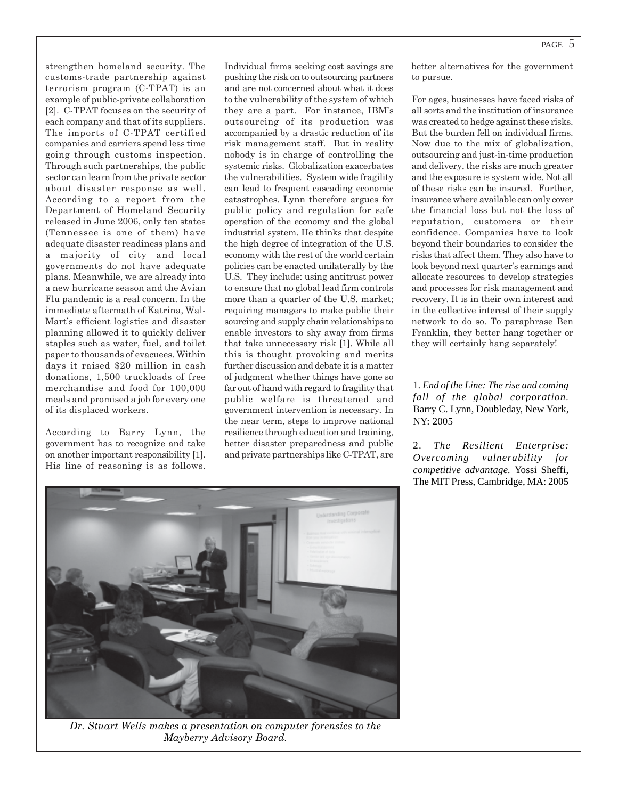strengthen homeland security. The customs-trade partnership against terrorism program (C-TPAT) is an example of public-private collaboration [2]. C-TPAT focuses on the security of each company and that of its suppliers. The imports of C-TPAT certified companies and carriers spend less time going through customs inspection. Through such partnerships, the public sector can learn from the private sector about disaster response as well. According to a report from the Department of Homeland Security released in June 2006, only ten states (Tennessee is one of them) have adequate disaster readiness plans and a majority of city and local governments do not have adequate plans. Meanwhile, we are already into a new hurricane season and the Avian Flu pandemic is a real concern. In the immediate aftermath of Katrina, Wal-Mart's efficient logistics and disaster planning allowed it to quickly deliver staples such as water, fuel, and toilet paper to thousands of evacuees. Within days it raised \$20 million in cash donations, 1,500 truckloads of free merchandise and food for 100,000 meals and promised a job for every one of its displaced workers.

According to Barry Lynn, the government has to recognize and take on another important responsibility [1]. His line of reasoning is as follows. Individual firms seeking cost savings are pushing the risk on to outsourcing partners and are not concerned about what it does to the vulnerability of the system of which they are a part. For instance, IBM's outsourcing of its production was accompanied by a drastic reduction of its risk management staff. But in reality nobody is in charge of controlling the systemic risks. Globalization exacerbates the vulnerabilities. System wide fragility can lead to frequent cascading economic catastrophes. Lynn therefore argues for public policy and regulation for safe operation of the economy and the global industrial system. He thinks that despite the high degree of integration of the U.S. economy with the rest of the world certain policies can be enacted unilaterally by the U.S. They include: using antitrust power to ensure that no global lead firm controls more than a quarter of the U.S. market; requiring managers to make public their sourcing and supply chain relationships to enable investors to shy away from firms that take unnecessary risk [1]. While all this is thought provoking and merits further discussion and debate it is a matter of judgment whether things have gone so far out of hand with regard to fragility that public welfare is threatened and government intervention is necessary. In the near term, steps to improve national resilience through education and training, better disaster preparedness and public and private partnerships like C-TPAT, are

better alternatives for the government to pursue.

For ages, businesses have faced risks of all sorts and the institution of insurance was created to hedge against these risks. But the burden fell on individual firms. Now due to the mix of globalization, outsourcing and just-in-time production and delivery, the risks are much greater and the exposure is system wide. Not all of these risks can be insured. Further, insurance where available can only cover the financial loss but not the loss of reputation, customers or their confidence. Companies have to look beyond their boundaries to consider the risks that affect them. They also have to look beyond next quarter's earnings and allocate resources to develop strategies and processes for risk management and recovery. It is in their own interest and in the collective interest of their supply network to do so. To paraphrase Ben Franklin, they better hang together or they will certainly hang separately!

1*. End of the Line: The rise and coming fall of the global corporation.* Barry C. Lynn, Doubleday, New York, NY: 2005

2. *The Resilient Enterprise: Overcoming vulnerability for competitive advantage.* Yossi Sheffi, The MIT Press, Cambridge, MA: 2005



*Dr. Stuart Wells makes a presentation on computer forensics to the Mayberry Advisory Board.*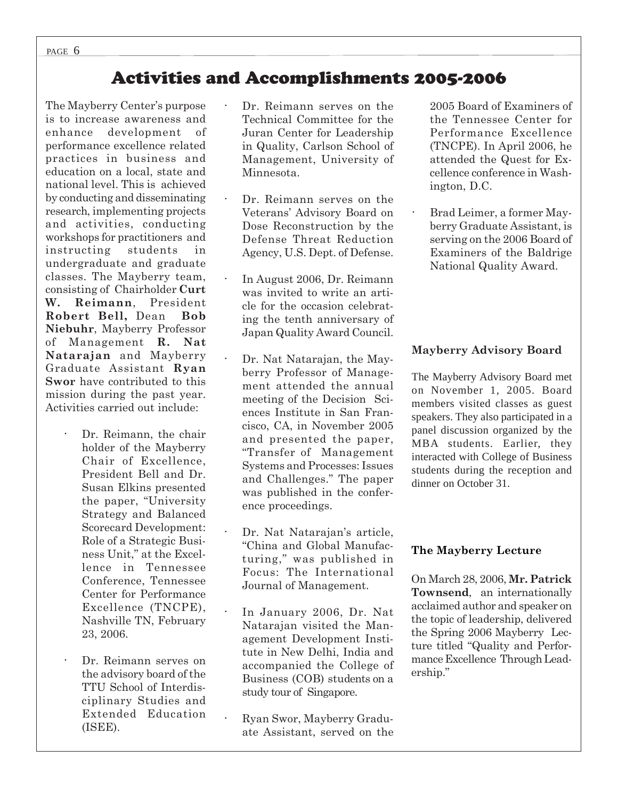# Activities and Accomplishments 2005-2006

The Mayberry Center's purpose is to increase awareness and enhance development of performance excellence related practices in business and education on a local, state and national level. This is achieved by conducting and disseminating research, implementing projects and activities, conducting workshops for practitioners and instructing students in undergraduate and graduate classes. The Mayberry team, consisting of Chairholder **Curt W. Reimann**, President **Robert Bell,** Dean **Bob Niebuhr**, Mayberry Professor of Management **R. Nat Natarajan** and Mayberry Graduate Assistant **Ryan Swor** have contributed to this mission during the past year. Activities carried out include:

- **·** Dr. Reimann, the chair holder of the Mayberry Chair of Excellence, President Bell and Dr. Susan Elkins presented the paper, "University Strategy and Balanced Scorecard Development: Role of a Strategic Business Unit," at the Excellence in Tennessee Conference, Tennessee Center for Performance Excellence (TNCPE), Nashville TN, February 23, 2006.
- **·** Dr. Reimann serves on the advisory board of the TTU School of Interdisciplinary Studies and Extended Education (ISEE).
- Dr. Reimann serves on the Technical Committee for the Juran Center for Leadership in Quality, Carlson School of Management, University of Minnesota.
- Dr. Reimann serves on the Veterans' Advisory Board on Dose Reconstruction by the Defense Threat Reduction Agency, U.S. Dept. of Defense.
- **·** In August 2006, Dr. Reimann was invited to write an article for the occasion celebrating the tenth anniversary of Japan Quality Award Council.
- Dr. Nat Natarajan, the Mayberry Professor of Management attended the annual meeting of the Decision Sciences Institute in San Francisco, CA, in November 2005 and presented the paper, "Transfer of Management Systems and Processes: Issues and Challenges." The paper was published in the conference proceedings.
- **·** Dr. Nat Natarajan's article, "China and Global Manufacturing," was published in Focus: The International Journal of Management.
- **·** In January 2006, Dr. Nat Natarajan visited the Management Development Institute in New Delhi, India and accompanied the College of Business (COB) students on a study tour of Singapore.
- **·** Ryan Swor, Mayberry Graduate Assistant, served on the

2005 Board of Examiners of the Tennessee Center for Performance Excellence (TNCPE). In April 2006, he attended the Quest for Excellence conference in Washington, D.C.

**·** Brad Leimer, a former Mayberry Graduate Assistant, is serving on the 2006 Board of Examiners of the Baldrige National Quality Award.

## **Mayberry Advisory Board**

The Mayberry Advisory Board met on November 1, 2005. Board members visited classes as guest speakers. They also participated in a panel discussion organized by the MBA students. Earlier, they interacted with College of Business students during the reception and dinner on October 31.

## **The Mayberry Lecture**

On March 28, 2006, **Mr. Patrick Townsend**, an internationally acclaimed author and speaker on the topic of leadership, delivered the Spring 2006 Mayberry Lecture titled "Quality and Performance Excellence Through Leadership."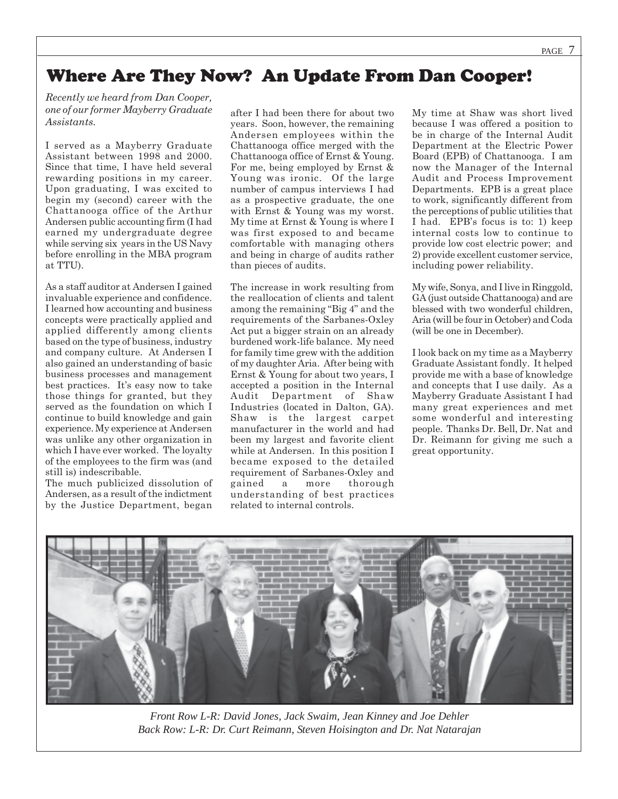# Where Are They Now? An Update From Dan Cooper!

*Recently we heard from Dan Cooper, one of our former Mayberry Graduate Assistants.*

I served as a Mayberry Graduate Assistant between 1998 and 2000. Since that time, I have held several rewarding positions in my career. Upon graduating, I was excited to begin my (second) career with the Chattanooga office of the Arthur Andersen public accounting firm (I had earned my undergraduate degree while serving six years in the US Navy before enrolling in the MBA program at TTU).

As a staff auditor at Andersen I gained invaluable experience and confidence. I learned how accounting and business concepts were practically applied and applied differently among clients based on the type of business, industry and company culture. At Andersen I also gained an understanding of basic business processes and management best practices. It's easy now to take those things for granted, but they served as the foundation on which I continue to build knowledge and gain experience. My experience at Andersen was unlike any other organization in which I have ever worked. The loyalty of the employees to the firm was (and still is) indescribable.

The much publicized dissolution of Andersen, as a result of the indictment by the Justice Department, began

after I had been there for about two years. Soon, however, the remaining Andersen employees within the Chattanooga office merged with the Chattanooga office of Ernst & Young. For me, being employed by Ernst & Young was ironic. Of the large number of campus interviews I had as a prospective graduate, the one with Ernst & Young was my worst. My time at Ernst & Young is where I was first exposed to and became comfortable with managing others and being in charge of audits rather than pieces of audits.

The increase in work resulting from the reallocation of clients and talent among the remaining "Big 4" and the requirements of the Sarbanes-Oxley Act put a bigger strain on an already burdened work-life balance. My need for family time grew with the addition of my daughter Aria. After being with Ernst & Young for about two years, I accepted a position in the Internal Audit Department of Shaw Industries (located in Dalton, GA). Shaw is the largest carpet manufacturer in the world and had been my largest and favorite client while at Andersen. In this position I became exposed to the detailed requirement of Sarbanes-Oxley and gained a more thorough understanding of best practices related to internal controls.

My time at Shaw was short lived because I was offered a position to be in charge of the Internal Audit Department at the Electric Power Board (EPB) of Chattanooga. I am now the Manager of the Internal Audit and Process Improvement Departments. EPB is a great place to work, significantly different from the perceptions of public utilities that I had. EPB's focus is to: 1) keep internal costs low to continue to provide low cost electric power; and 2) provide excellent customer service, including power reliability.

My wife, Sonya, and I live in Ringgold, GA (just outside Chattanooga) and are blessed with two wonderful children, Aria (will be four in October) and Coda (will be one in December).

I look back on my time as a Mayberry Graduate Assistant fondly. It helped provide me with a base of knowledge and concepts that I use daily. As a Mayberry Graduate Assistant I had many great experiences and met some wonderful and interesting people. Thanks Dr. Bell, Dr. Nat and Dr. Reimann for giving me such a great opportunity.



*Front Row L-R: David Jones, Jack Swaim, Jean Kinney and Joe Dehler Back Row: L-R: Dr. Curt Reimann, Steven Hoisington and Dr. Nat Natarajan*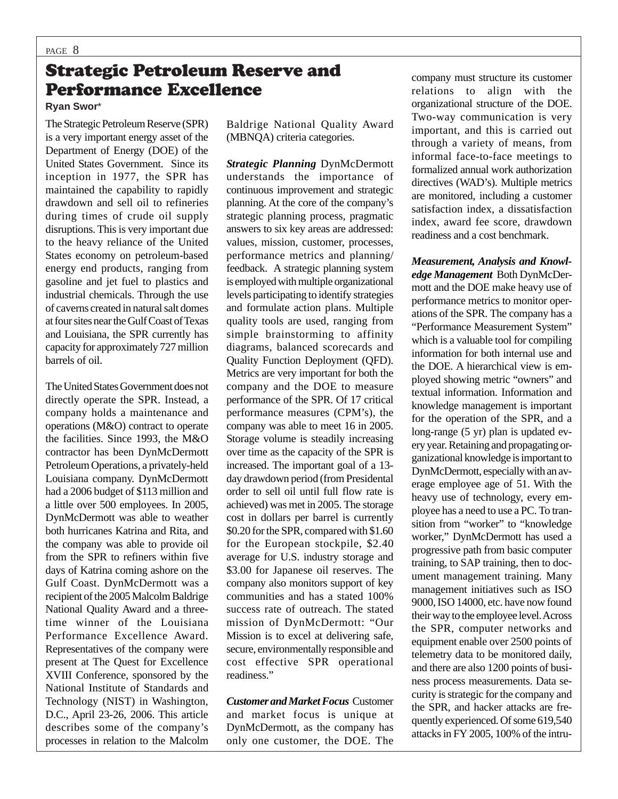# Strategic Petroleum Reserve and Performance Excellence

**Ryan Swor**\*

The Strategic Petroleum Reserve (SPR) is a very important energy asset of the Department of Energy (DOE) of the United States Government. Since its inception in 1977, the SPR has maintained the capability to rapidly drawdown and sell oil to refineries during times of crude oil supply disruptions. This is very important due to the heavy reliance of the United States economy on petroleum-based energy end products, ranging from gasoline and jet fuel to plastics and industrial chemicals. Through the use of caverns created in natural salt domes at four sites near the Gulf Coast of Texas and Louisiana, the SPR currently has capacity for approximately 727 million barrels of oil.

The United States Government does not directly operate the SPR. Instead, a company holds a maintenance and operations (M&O) contract to operate the facilities. Since 1993, the M&O contractor has been DynMcDermott Petroleum Operations, a privately-held Louisiana company. DynMcDermott had a 2006 budget of \$113 million and a little over 500 employees. In 2005, DynMcDermott was able to weather both hurricanes Katrina and Rita, and the company was able to provide oil from the SPR to refiners within five days of Katrina coming ashore on the Gulf Coast. DynMcDermott was a recipient of the 2005 Malcolm Baldrige National Quality Award and a threetime winner of the Louisiana Performance Excellence Award. Representatives of the company were present at The Quest for Excellence XVIII Conference, sponsored by the National Institute of Standards and Technology (NIST) in Washington, D.C., April 23-26, 2006. This article describes some of the company's processes in relation to the Malcolm

Baldrige National Quality Award (MBNQA) criteria categories.

*Strategic Planning* DynMcDermott understands the importance of continuous improvement and strategic planning. At the core of the company's strategic planning process, pragmatic answers to six key areas are addressed: values, mission, customer, processes, performance metrics and planning/ feedback. A strategic planning system is employed with multiple organizational levels participating to identify strategies and formulate action plans. Multiple quality tools are used, ranging from simple brainstorming to affinity diagrams, balanced scorecards and Quality Function Deployment (QFD). Metrics are very important for both the company and the DOE to measure performance of the SPR. Of 17 critical performance measures (CPM's), the company was able to meet 16 in 2005. Storage volume is steadily increasing over time as the capacity of the SPR is increased. The important goal of a 13 day drawdown period (from Presidental order to sell oil until full flow rate is achieved) was met in 2005. The storage cost in dollars per barrel is currently \$0.20 for the SPR, compared with \$1.60 for the European stockpile, \$2.40 average for U.S. industry storage and \$3.00 for Japanese oil reserves. The company also monitors support of key communities and has a stated 100% success rate of outreach. The stated mission of DynMcDermott: "Our Mission is to excel at delivering safe, secure, environmentally responsible and cost effective SPR operational readiness."

*Customer and Market Focus* Customer and market focus is unique at DynMcDermott, as the company has only one customer, the DOE. The company must structure its customer relations to align with the organizational structure of the DOE. Two-way communication is very important, and this is carried out through a variety of means, from informal face-to-face meetings to formalized annual work authorization directives (WAD's). Multiple metrics are monitored, including a customer satisfaction index, a dissatisfaction index, award fee score, drawdown readiness and a cost benchmark.

*Measurement, Analysis and Knowledge Management* Both DynMcDermott and the DOE make heavy use of performance metrics to monitor operations of the SPR. The company has a "Performance Measurement System" which is a valuable tool for compiling information for both internal use and the DOE. A hierarchical view is employed showing metric "owners" and textual information. Information and knowledge management is important for the operation of the SPR, and a long-range (5 yr) plan is updated every year. Retaining and propagating organizational knowledge is important to DynMcDermott, especially with an average employee age of 51. With the heavy use of technology, every employee has a need to use a PC. To transition from "worker" to "knowledge worker," DynMcDermott has used a progressive path from basic computer training, to SAP training, then to document management training. Many management initiatives such as ISO 9000, ISO 14000, etc. have now found their way to the employee level. Across the SPR, computer networks and equipment enable over 2500 points of telemetry data to be monitored daily, and there are also 1200 points of business process measurements. Data security is strategic for the company and the SPR, and hacker attacks are frequently experienced. Of some 619,540 attacks in FY 2005, 100% of the intru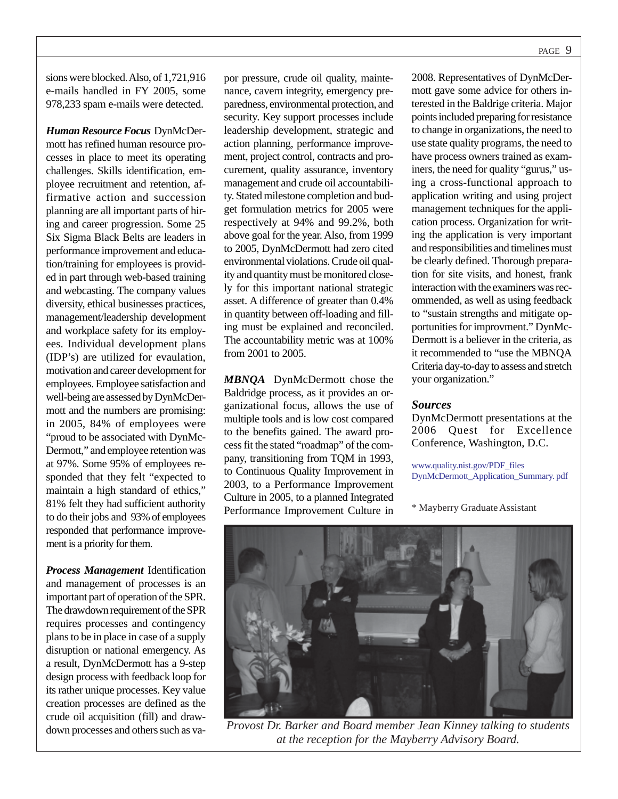sions were blocked. Also, of 1,721,916 e-mails handled in FY 2005, some 978,233 spam e-mails were detected.

*Human Resource Focus* DynMcDermott has refined human resource processes in place to meet its operating challenges. Skills identification, employee recruitment and retention, affirmative action and succession planning are all important parts of hiring and career progression. Some 25 Six Sigma Black Belts are leaders in performance improvement and education/training for employees is provided in part through web-based training and webcasting. The company values diversity, ethical businesses practices, management/leadership development and workplace safety for its employees. Individual development plans (IDP's) are utilized for evaulation, motivation and career development for employees. Employee satisfaction and well-being are assessed by DynMcDermott and the numbers are promising: in 2005, 84% of employees were "proud to be associated with DynMc-Dermott," and employee retention was at 97%. Some 95% of employees responded that they felt "expected to maintain a high standard of ethics," 81% felt they had sufficient authority to do their jobs and 93% of employees responded that performance improvement is a priority for them.

*Process Management* Identification and management of processes is an important part of operation of the SPR. The drawdown requirement of the SPR requires processes and contingency plans to be in place in case of a supply disruption or national emergency. As a result, DynMcDermott has a 9-step design process with feedback loop for its rather unique processes. Key value creation processes are defined as the crude oil acquisition (fill) and drawdown processes and others such as vapor pressure, crude oil quality, maintenance, cavern integrity, emergency preparedness, environmental protection, and security. Key support processes include leadership development, strategic and action planning, performance improvement, project control, contracts and procurement, quality assurance, inventory management and crude oil accountability. Stated milestone completion and budget formulation metrics for 2005 were respectively at 94% and 99.2%, both above goal for the year. Also, from 1999 to 2005, DynMcDermott had zero cited environmental violations. Crude oil quality and quantity must be monitored closely for this important national strategic asset. A difference of greater than 0.4% in quantity between off-loading and filling must be explained and reconciled. The accountability metric was at 100% from 2001 to 2005.

*MBNQA* DynMcDermott chose the Baldridge process, as it provides an organizational focus, allows the use of multiple tools and is low cost compared to the benefits gained. The award process fit the stated "roadmap" of the company, transitioning from TQM in 1993, to Continuous Quality Improvement in 2003, to a Performance Improvement Culture in 2005, to a planned Integrated Performance Improvement Culture in 2008. Representatives of DynMcDermott gave some advice for others interested in the Baldrige criteria. Major points included preparing for resistance to change in organizations, the need to use state quality programs, the need to have process owners trained as examiners, the need for quality "gurus," using a cross-functional approach to application writing and using project management techniques for the application process. Organization for writing the application is very important and responsibilities and timelines must be clearly defined. Thorough preparation for site visits, and honest, frank interaction with the examiners was recommended, as well as using feedback to "sustain strengths and mitigate opportunities for improvment." DynMc-Dermott is a believer in the criteria, as it recommended to "use the MBNQA Criteria day-to-day to assess and stretch your organization."

### *Sources*

DynMcDermott presentations at the 2006 Quest for Excellence Conference, Washington, D.C.

www.quality.nist.gov/PDF\_files DynMcDermott\_Application\_Summary. pdf

\* Mayberry Graduate Assistant



*Provost Dr. Barker and Board member Jean Kinney talking to students at the reception for the Mayberry Advisory Board.*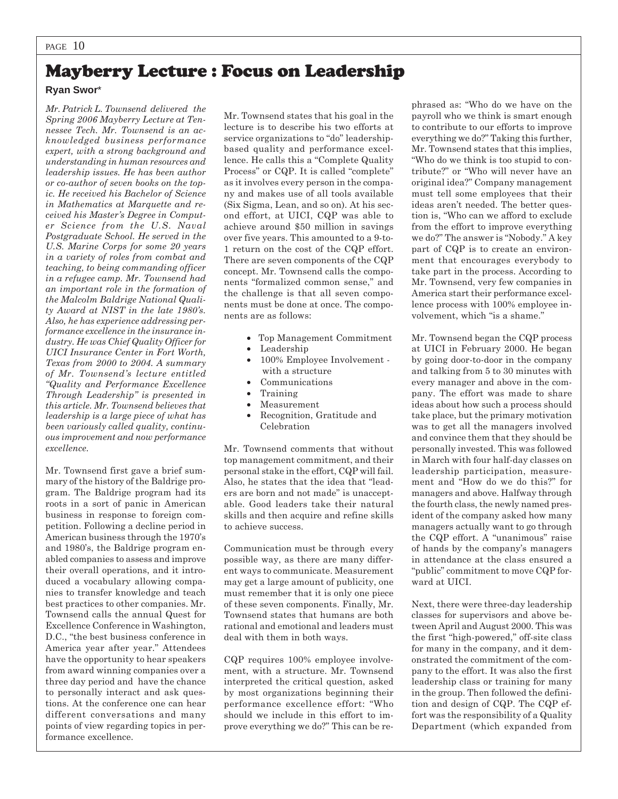# Mayberry Lecture : Focus on Leadership

### **Ryan Swor**\*

*Mr. Patrick L. Townsend delivered the Spring 2006 Mayberry Lecture at Tennessee Tech. Mr. Townsend is an acknowledged business performance expert, with a strong background and understanding in human resources and leadership issues. He has been author or co-author of seven books on the topic. He received his Bachelor of Science in Mathematics at Marquette and received his Master's Degree in Computer Science from the U.S. Naval Postgraduate School. He served in the U.S. Marine Corps for some 20 years in a variety of roles from combat and teaching, to being commanding officer in a refugee camp. Mr. Townsend had an important role in the formation of the Malcolm Baldrige National Quality Award at NIST in the late 1980's. Also, he has experience addressing performance excellence in the insurance industry. He was Chief Quality Officer for UICI Insurance Center in Fort Worth, Texas from 2000 to 2004. A summary of Mr. Townsend's lecture entitled "Quality and Performance Excellence Through Leadership" is presented in this article. Mr. Townsend believes that leadership is a large piece of what has been variously called quality, continuous improvement and now performance excellence.*

Mr. Townsend first gave a brief summary of the history of the Baldrige program. The Baldrige program had its roots in a sort of panic in American business in response to foreign competition. Following a decline period in American business through the 1970's and 1980's, the Baldrige program enabled companies to assess and improve their overall operations, and it introduced a vocabulary allowing companies to transfer knowledge and teach best practices to other companies. Mr. Townsend calls the annual Quest for Excellence Conference in Washington, D.C., "the best business conference in America year after year." Attendees have the opportunity to hear speakers from award winning companies over a three day period and have the chance to personally interact and ask questions. At the conference one can hear different conversations and many points of view regarding topics in performance excellence.

Mr. Townsend states that his goal in the lecture is to describe his two efforts at service organizations to "do" leadershipbased quality and performance excellence. He calls this a "Complete Quality Process" or CQP. It is called "complete" as it involves every person in the company and makes use of all tools available (Six Sigma, Lean, and so on). At his second effort, at UICI, CQP was able to achieve around \$50 million in savings over five years. This amounted to a 9-to-1 return on the cost of the CQP effort. There are seven components of the CQP concept. Mr. Townsend calls the components "formalized common sense," and the challenge is that all seven components must be done at once. The components are as follows:

- Top Management Commitment
- Leadership
- 100% Employee Involvement with a structure
- Communications
- Training
- Measurement
- Recognition, Gratitude and Celebration

Mr. Townsend comments that without top management commitment, and their personal stake in the effort, CQP will fail. Also, he states that the idea that "leaders are born and not made" is unacceptable. Good leaders take their natural skills and then acquire and refine skills to achieve success.

Communication must be through every possible way, as there are many different ways to communicate. Measurement may get a large amount of publicity, one must remember that it is only one piece of these seven components. Finally, Mr. Townsend states that humans are both rational and emotional and leaders must deal with them in both ways.

CQP requires 100% employee involvement, with a structure. Mr. Townsend interpreted the critical question, asked by most organizations beginning their performance excellence effort: "Who should we include in this effort to improve everything we do?" This can be rephrased as: "Who do we have on the payroll who we think is smart enough to contribute to our efforts to improve everything we do?" Taking this further, Mr. Townsend states that this implies, "Who do we think is too stupid to contribute?" or "Who will never have an original idea?" Company management must tell some employees that their ideas aren't needed. The better question is, "Who can we afford to exclude from the effort to improve everything we do?" The answer is "Nobody." A key part of CQP is to create an environment that encourages everybody to take part in the process. According to Mr. Townsend, very few companies in America start their performance excellence process with 100% employee involvement, which "is a shame."

Mr. Townsend began the CQP process at UICI in February 2000. He began by going door-to-door in the company and talking from 5 to 30 minutes with every manager and above in the company. The effort was made to share ideas about how such a process should take place, but the primary motivation was to get all the managers involved and convince them that they should be personally invested. This was followed in March with four half-day classes on leadership participation, measurement and "How do we do this?" for managers and above. Halfway through the fourth class, the newly named president of the company asked how many managers actually want to go through the CQP effort. A "unanimous" raise of hands by the company's managers in attendance at the class ensured a "public" commitment to move CQP forward at UICI.

Next, there were three-day leadership classes for supervisors and above between April and August 2000. This was the first "high-powered," off-site class for many in the company, and it demonstrated the commitment of the company to the effort. It was also the first leadership class or training for many in the group. Then followed the definition and design of CQP. The CQP effort was the responsibility of a Quality Department (which expanded from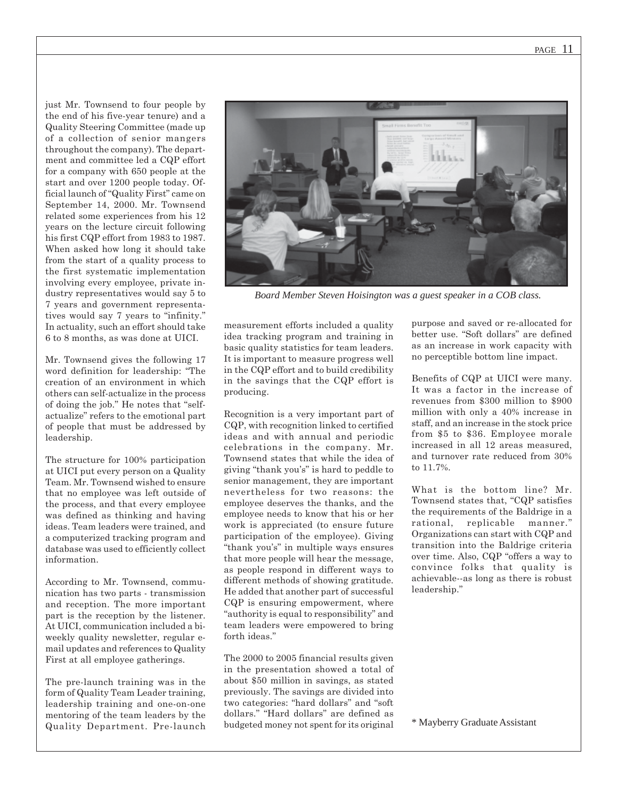just Mr. Townsend to four people by the end of his five-year tenure) and a Quality Steering Committee (made up of a collection of senior mangers throughout the company). The department and committee led a CQP effort for a company with 650 people at the start and over 1200 people today. Official launch of "Quality First" came on September 14, 2000. Mr. Townsend related some experiences from his 12 years on the lecture circuit following his first CQP effort from 1983 to 1987. When asked how long it should take from the start of a quality process to the first systematic implementation involving every employee, private industry representatives would say 5 to 7 years and government representatives would say 7 years to "infinity." In actuality, such an effort should take 6 to 8 months, as was done at UICI.

Mr. Townsend gives the following 17 word definition for leadership: "The creation of an environment in which others can self-actualize in the process of doing the job." He notes that "selfactualize" refers to the emotional part of people that must be addressed by leadership.

The structure for 100% participation at UICI put every person on a Quality Team. Mr. Townsend wished to ensure that no employee was left outside of the process, and that every employee was defined as thinking and having ideas. Team leaders were trained, and a computerized tracking program and database was used to efficiently collect information.

According to Mr. Townsend, communication has two parts - transmission and reception. The more important part is the reception by the listener. At UICI, communication included a biweekly quality newsletter, regular email updates and references to Quality First at all employee gatherings.

The pre-launch training was in the form of Quality Team Leader training, leadership training and one-on-one mentoring of the team leaders by the Quality Department. Pre-launch



*Board Member Steven Hoisington was a guest speaker in a COB class.*

measurement efforts included a quality idea tracking program and training in basic quality statistics for team leaders. It is important to measure progress well in the CQP effort and to build credibility in the savings that the CQP effort is producing.

Recognition is a very important part of CQP, with recognition linked to certified ideas and with annual and periodic celebrations in the company. Mr. Townsend states that while the idea of giving "thank you's" is hard to peddle to senior management, they are important nevertheless for two reasons: the employee deserves the thanks, and the employee needs to know that his or her work is appreciated (to ensure future participation of the employee). Giving "thank you's" in multiple ways ensures that more people will hear the message, as people respond in different ways to different methods of showing gratitude. He added that another part of successful CQP is ensuring empowerment, where "authority is equal to responsibility" and team leaders were empowered to bring forth ideas."

The 2000 to 2005 financial results given in the presentation showed a total of about \$50 million in savings, as stated previously. The savings are divided into two categories: "hard dollars" and "soft dollars." "Hard dollars" are defined as budgeted money not spent for its original purpose and saved or re-allocated for better use. "Soft dollars" are defined as an increase in work capacity with no perceptible bottom line impact.

Benefits of CQP at UICI were many. It was a factor in the increase of revenues from \$300 million to \$900 million with only a 40% increase in staff, and an increase in the stock price from \$5 to \$36. Employee morale increased in all 12 areas measured, and turnover rate reduced from 30% to 11.7%.

What is the bottom line? Mr. Townsend states that, "CQP satisfies the requirements of the Baldrige in a rational, replicable manner." Organizations can start with CQP and transition into the Baldrige criteria over time. Also, CQP "offers a way to convince folks that quality is achievable--as long as there is robust leadership."

\* Mayberry Graduate Assistant